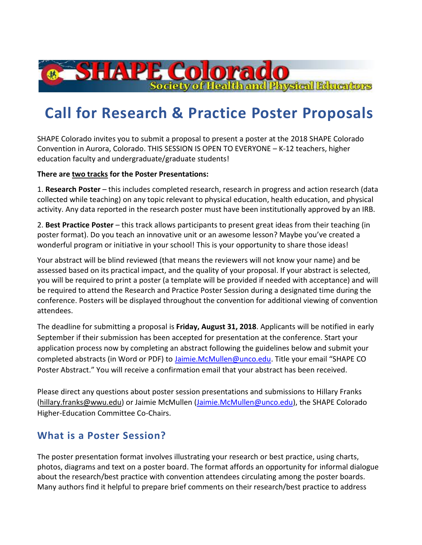# **Call for Research & Practice Poster Proposals**

**8 SHAPE Colorado** 

SHAPE Colorado invites you to submit a proposal to present a poster at the 2018 [SHAPE](http://www.himssconference.org/) Colorado Convention in Aurora, Colorado. THIS SESSION IS OPEN TO EVERYONE – K-12 teachers, higher education faculty and undergraduate/graduate students!

#### **There are two tracks for the Poster Presentations:**

1. **Research Poster** – this includes completed research, research in progress and action research (data collected while teaching) on any topic relevant to physical education, health education, and physical activity. Any data reported in the research poster must have been institutionally approved by an IRB.

2. **Best Practice Poster** – this track allows participants to present great ideas from their teaching (in poster format). Do you teach an innovative unit or an awesome lesson? Maybe you've created a wonderful program or initiative in your school! This is your opportunity to share those ideas!

Your abstract will be blind reviewed (that means the reviewers will not know your name) and be assessed based on its practical impact, and the quality of your proposal. If your abstract is selected, you will be required to print a poster (a template will be provided if needed with acceptance) and will be required to attend the Research and Practice Poster Session during a designated time during the conference. Posters will be displayed throughout the convention for additional viewing of convention attendees.

The deadline for submitting a proposal is **Friday, August 31, 2018**. Applicants will be notified in early September if their submission has been accepted for presentation at the conference. Start your application process now by completing an abstract following the guidelines below and submit your completed abstracts (in Word or PDF) to [Jaimie.McMullen@unco.edu](mailto:Jaimie.McMullen@unco.edu). Title your email "SHAPE CO Poster Abstract." You will receive a confirmation email that your abstract has been received.

Please direct any questions about poster session presentations and submissions to Hillary Franks [\(hillary.franks@wwu.edu\)](mailto:hillary.franks@wwu.edu) or Jaimie McMullen [\(Jaimie.McMullen@unco.edu\)](mailto:Jaimie.McMullen@unco.edu), the SHAPE Colorado Higher-Education Committee Co-Chairs.

## **What is a Poster Session?**

The poster presentation format involves illustrating your research or best practice, using charts, photos, diagrams and text on a poster board. The format affords an opportunity for informal dialogue about the research/best practice with convention attendees circulating among the poster boards. Many authors find it helpful to prepare brief comments on their research/best practice to address